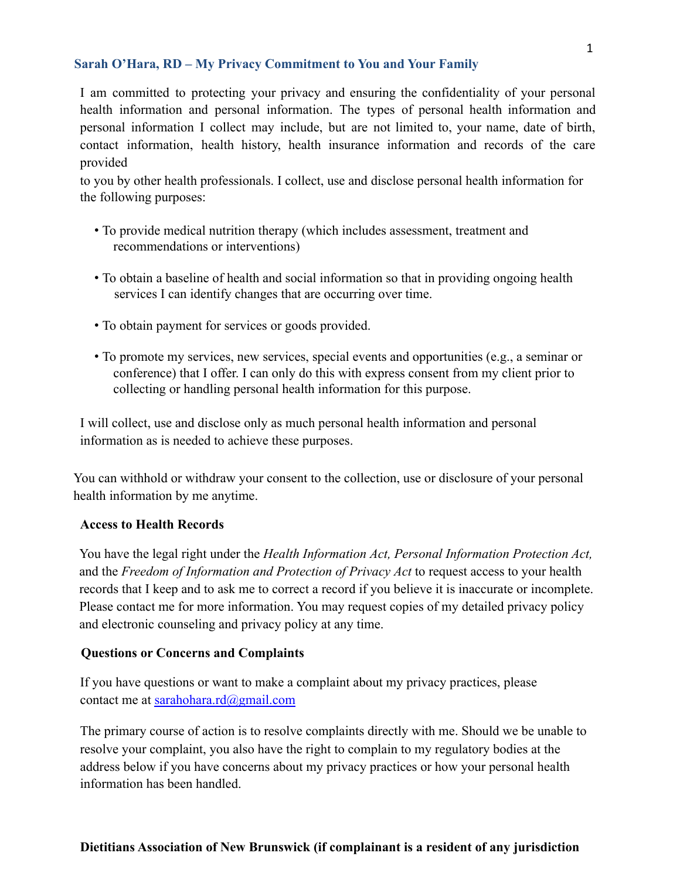## **Sarah O'Hara, RD – My Privacy Commitment to You and Your Family**

I am committed to protecting your privacy and ensuring the confidentiality of your personal health information and personal information. The types of personal health information and personal information I collect may include, but are not limited to, your name, date of birth, contact information, health history, health insurance information and records of the care provided

to you by other health professionals. I collect, use and disclose personal health information for the following purposes:

- To provide medical nutrition therapy (which includes assessment, treatment and recommendations or interventions)
- To obtain a baseline of health and social information so that in providing ongoing health services I can identify changes that are occurring over time.
- To obtain payment for services or goods provided.
- To promote my services, new services, special events and opportunities (e.g., a seminar or conference) that I offer. I can only do this with express consent from my client prior to collecting or handling personal health information for this purpose.

I will collect, use and disclose only as much personal health information and personal information as is needed to achieve these purposes.

You can withhold or withdraw your consent to the collection, use or disclosure of your personal health information by me anytime.

## **Access to Health Records**

You have the legal right under the *Health Information Act, Personal Information Protection Act,* and the *Freedom of Information and Protection of Privacy Act* to request access to your health records that I keep and to ask me to correct a record if you believe it is inaccurate or incomplete. Please contact me for more information. You may request copies of my detailed privacy policy and electronic counseling and privacy policy at any time.

## **Questions or Concerns and Complaints**

If you have questions or want to make a complaint about my privacy practices, please contact me at sarahohara.rd@gmail.com

The primary course of action is to resolve complaints directly with me. Should we be unable to resolve your complaint, you also have the right to complain to my regulatory bodies at the address below if you have concerns about my privacy practices or how your personal health information has been handled.